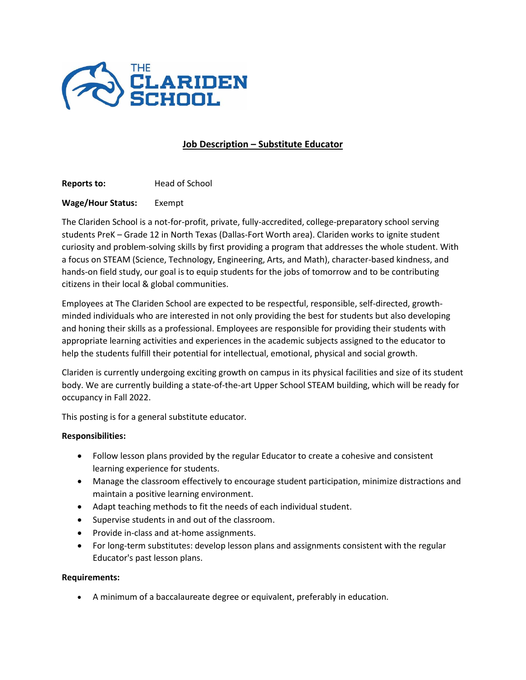

# **Job Description – Substitute Educator**

**Reports to:** Head of School

## **Wage/Hour Status:** Exempt

The Clariden School is a not-for-profit, private, fully-accredited, college-preparatory school serving students PreK – Grade 12 in North Texas (Dallas-Fort Worth area). Clariden works to ignite student curiosity and problem-solving skills by first providing a program that addresses the whole student. With a focus on STEAM (Science, Technology, Engineering, Arts, and Math), character-based kindness, and hands-on field study, our goal is to equip students for the jobs of tomorrow and to be contributing citizens in their local & global communities.

Employees at The Clariden School are expected to be respectful, responsible, self-directed, growthminded individuals who are interested in not only providing the best for students but also developing and honing their skills as a professional. Employees are responsible for providing their students with appropriate learning activities and experiences in the academic subjects assigned to the educator to help the students fulfill their potential for intellectual, emotional, physical and social growth.

Clariden is currently undergoing exciting growth on campus in its physical facilities and size of its student body. We are currently building a state-of-the-art Upper School STEAM building, which will be ready for occupancy in Fall 2022.

This posting is for a general substitute educator.

### **Responsibilities:**

- Follow lesson plans provided by the regular Educator to create a cohesive and consistent learning experience for students.
- Manage the classroom effectively to encourage student participation, minimize distractions and maintain a positive learning environment.
- Adapt teaching methods to fit the needs of each individual student.
- Supervise students in and out of the classroom.
- Provide in-class and at-home assignments.
- For long-term substitutes: develop lesson plans and assignments consistent with the regular Educator's past lesson plans.

### **Requirements:**

• A minimum of a baccalaureate degree or equivalent, preferably in education.